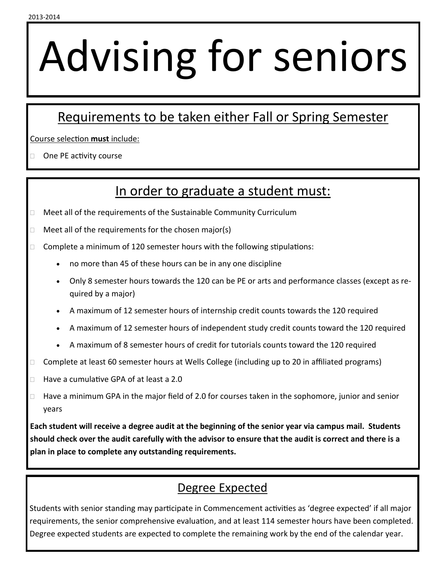## Advising for seniors

## Requirements to be taken either Fall or Spring Semester

Course selection **must** include:

 $\Box$  One PE activity course

## In order to graduate a student must:

- □ Meet all of the requirements of the Sustainable Community Curriculum
- $\Box$  Meet all of the requirements for the chosen major(s)
- $\Box$  Complete a minimum of 120 semester hours with the following stipulations:
	- no more than 45 of these hours can be in any one discipline
	- Only 8 semester hours towards the 120 can be PE or arts and performance classes (except as required by a major)
	- A maximum of 12 semester hours of internship credit counts towards the 120 required
	- A maximum of 12 semester hours of independent study credit counts toward the 120 required
	- A maximum of 8 semester hours of credit for tutorials counts toward the 120 required
- $\Box$  Complete at least 60 semester hours at Wells College (including up to 20 in affiliated programs)
- □ Have a cumulative GPA of at least a 2.0
- Have a minimum GPA in the major field of 2.0 for courses taken in the sophomore, junior and senior years

**Each student will receive a degree audit at the beginning of the senior year via campus mail. Students should check over the audit carefully with the advisor to ensure that the audit is correct and there is a plan in place to complete any outstanding requirements.** 

## Degree Expected

Students with senior standing may participate in Commencement activities as 'degree expected' if all major requirements, the senior comprehensive evaluation, and at least 114 semester hours have been completed. Degree expected students are expected to complete the remaining work by the end of the calendar year.